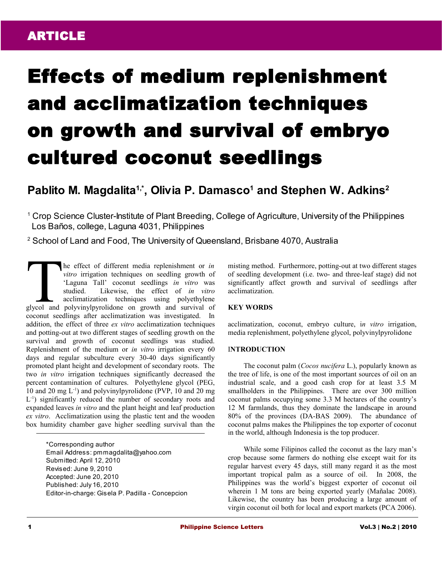## ARTICLE

# Effects of medium replenishment and acclimatization techniques on growth and survival of embryo cultured coconut seedlings

### **Pablito M. Magdalita1,\* , Olivia P. Damasco<sup>1</sup> and Stephen W. Adkins<sup>2</sup>**

<sup>1</sup> Crop Science Cluster-Institute of Plant Breeding, College of Agriculture, University of the Philippines Los Baños, college, Laguna 4031, Philippines

2 School of Land and Food, The University of Queensland, Brisbane 4070, Australia

he effect of different media replenishment or *in vitro* irrigation techniques on seedling growth of 'Laguna Tall' coconut seedlings *in vitro* was studied. Likewise, the effect of *in vitro* acclimatization techniques using polyethylene The effect of different media replenishment or *in*<br>vitro irrigation techniques on seedling growth of<br>'Laguna Tall' coconut seedlings in vitro was<br>studied. Likewise, the effect of *in vitro*<br>acclimatization techniques usin coconut seedlings after acclimatization was investigated. In addition, the effect of three *ex vitro* acclimatization techniques and potting-out at two different stages of seedling growth on the survival and growth of coconut seedlings was studied. Replenishment of the medium or *in vitro* irrigation every 60 days and regular subculture every 30-40 days significantly promoted plant height and development of secondary roots. The two *in vitro* irrigation techniques significantly decreased the percent contamination of cultures. Polyethylene glycol (PEG, 10 and 20 mg  $L^{-1}$ ) and polyvinylpyrolidone (PVP, 10 and 20 mg L<sup>-1</sup>) significantly reduced the number of secondary roots and expanded leaves *in vitro* and the plant height and leaf production *ex vitro*. Acclimatization using the plastic tent and the wooden box humidity chamber gave higher seedling survival than the

> \*Corresponding author Email Address: pmmagdalita@yahoo.com Submitted: April 12, 2010 Revised: June 9, 2010 Accepted: June 20, 2010 Published: July 16, 2010 Editor-in-charge: Gisela P. Padilla - Concepcion

misting method. Furthermore, potting-out at two different stages of seedling development (i.e. two- and three-leaf stage) did not significantly affect growth and survival of seedlings after acclimatization.

#### **KEY WORDS**

acclimatization, coconut, embryo culture, i*n vitro* irrigation, media replenishment, polyethylene glycol, polyvinylpyrolidone

#### I**NTRODUCTION**

The coconut palm (*Cocos nucifera* L.), popularly known as the tree of life, is one of the most important sources of oil on an industrial scale, and a good cash crop for at least 3.5 M smallholders in the Philippines. There are over 300 million coconut palms occupying some 3.3 M hectares of the country's 12 M farmlands, thus they dominate the landscape in around 80% of the provinces (DA-BAS 2009). The abundance of coconut palms makes the Philippines the top exporter of coconut in the world, although Indonesia is the top producer.

While some Filipinos called the coconut as the lazy man's crop because some farmers do nothing else except wait for its regular harvest every 45 days, still many regard it as the most important tropical palm as a source of oil. In 2008, the Philippines was the world's biggest exporter of coconut oil wherein 1 M tons are being exported yearly (Mañalac 2008). Likewise, the country has been producing a large amount of virgin coconut oil both for local and export markets (PCA 2006).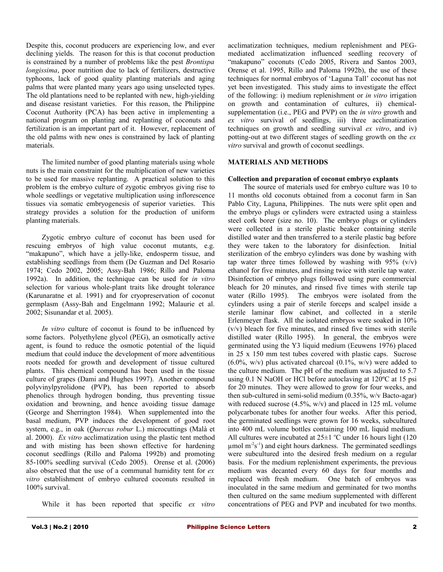Despite this, coconut producers are experiencing low, and ever declining yields. The reason for this is that coconut production is constrained by a number of problems like the pest *Brontispa longissima*, poor nutrition due to lack of fertilizers, destructive typhoons, lack of good quality planting materials and aging palms that were planted many years ago using unselected types. The old plantations need to be replanted with new, high-yielding and disease resistant varieties. For this reason, the Philippine Coconut Authority (PCA) has been active in implementing a national program on planting and replanting of coconuts and fertilization is an important part of it. However, replacement of the old palms with new ones is constrained by lack of planting materials.

The limited number of good planting materials using whole nuts is the main constraint for the multiplication of new varieties to be used for massive replanting. A practical solution to this problem is the embryo culture of zygotic embryos giving rise to whole seedlings or vegetative multiplication using inflorescence tissues via somatic embryogenesis of superior varieties. This strategy provides a solution for the production of uniform planting materials.

Zygotic embryo culture of coconut has been used for rescuing embryos of high value coconut mutants, e.g. "makapuno", which have a jelly-like, endosperm tissue, and establishing seedlings from them (De Guzman and Del Rosario 1974; Cedo 2002, 2005; Assy-Bah 1986; Rillo and Paloma 1992a). In addition, the technique can be used for *in vitro* selection for various whole-plant traits like drought tolerance (Karunaratne et al. 1991) and for cryopreservation of coconut germplasm (Assy-Bah and Engelmann 1992; Malaurie et al. 2002; Sisunandar et al. 2005).

*In vitro* culture of coconut is found to be influenced by some factors. Polyethylene glycol (PEG), an osmotically active agent, is found to reduce the osmotic potential of the liquid medium that could induce the development of more adventitious roots needed for growth and development of tissue cultured plants. This chemical compound has been used in the tissue culture of grapes (Dami and Hughes 1997). Another compound polyvinylpyrolidone (PVP), has been reported to absorb phenolics through hydrogen bonding, thus preventing tissue oxidation and browning, and hence avoiding tissue damage (George and Sherrington 1984). When supplemented into the basal medium, PVP induces the development of good root system, e.g., in oak (*Quercus robur* L.) microcuttings (Malà et al. 2000). *Ex vitro* acclimatization using the plastic tent method and with misting has been shown effective for hardening coconut seedlings (Rillo and Paloma 1992b) and promoting 85-100% seedling survival (Cedo 2005). Orense et al. (2006) also observed that the use of a communal humidity tent for *ex vitro* establishment of embryo cultured coconuts resulted in 100% survival.

While it has been reported that specific *ex vitro*

acclimatization techniques, medium replenishment and PEGmediated acclimatization influenced seedling recovery of "makapuno" coconuts (Cedo 2005, Rivera and Santos 2003, Orense et al. 1995, Rillo and Paloma 1992b), the use of these techniques for normal embryos of 'Laguna Tall' coconut has not yet been investigated. This study aims to investigate the effect of the following: i) medium replenishment or *in vitro* irrigation on growth and contamination of cultures, ii) chemicalsupplementation (i.e., PEG and PVP) on the *in vitro* growth and *ex vitro* survival of seedlings, iii) three acclimatization techniques on growth and seedling survival *ex vitro*, and iv) potting-out at two different stages of seedling growth on the *ex vitro* survival and growth of coconut seedlings.

#### **MATERIALS AND METHODS**

#### **Collection and preparation of coconut embryo explants**

The source of materials used for embryo culture was 10 to 11 months old coconuts obtained from a coconut farm in San Pablo City, Laguna, Philippines. The nuts were split open and the embryo plugs or cylinders were extracted using a stainless steel cork borer (size no. 10). The embryo plugs or cylinders were collected in a sterile plastic beaker containing sterile distilled water and then transferred to a sterile plastic bag before they were taken to the laboratory for disinfection. Initial sterilization of the embryo cylinders was done by washing with tap water three times followed by washing with  $95\%$  (v/v) ethanol for five minutes, and rinsing twice with sterile tap water. Disinfection of embryo plugs followed using pure commercial bleach for 20 minutes, and rinsed five times with sterile tap water (Rillo 1995). The embryos were isolated from the cylinders using a pair of sterile forceps and scalpel inside a sterile laminar flow cabinet, and collected in a sterile Erlenmeyer flask. All the isolated embryos were soaked in 10% (v/v) bleach for five minutes, and rinsed five times with sterile distilled water (Rillo 1995). In general, the embryos were germinated using the Y3 liquid medium (Eeuwens 1976) placed in 25 x 150 mm test tubes covered with plastic caps. Sucrose  $(6.0\%$ , w/v) plus activated charcoal  $(0.1\%$ , w/v) were added to the culture medium. The pH of the medium was adjusted to 5.7 using 0.1 N NaOH or HCl before autoclaving at 120ºC at 15 psi for 20 minutes. They were allowed to grow for four weeks, and then sub-cultured in semi-solid medium (0.35%, w/v Bacto-agar) with reduced sucrose (4.5%, w/v) and placed in 125 mL volume polycarbonate tubes for another four weeks. After this period, the germinated seedlings were grown for 16 weeks, subcultured into 400 mL volume bottles containing 100 mL liquid medium. All cultures were incubated at  $25\pm1$  °C under 16 hours light (120  $\mu$ mol m<sup>-2</sup>s<sup>-1</sup>) and eight hours darkness. The germinated seedlings were subcultured into the desired fresh medium on a regular basis. For the medium replenishment experiments, the previous medium was decanted every 60 days for four months and replaced with fresh medium. One batch of embryos was inoculated in the same medium and germinated for two months then cultured on the same medium supplemented with different concentrations of PEG and PVP and incubated for two months.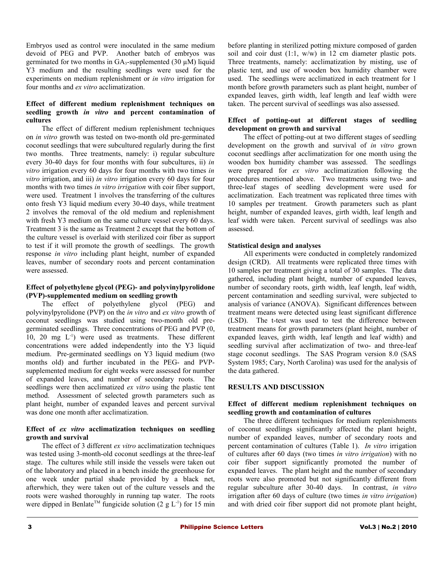Embryos used as control were inoculated in the same medium devoid of PEG and PVP. Another batch of embryos was germinated for two months in  $GA_3$ -supplemented (30  $\mu$ M) liquid Y3 medium and the resulting seedlings were used for the experiments on medium replenishment or *in vitro* irrigation for four months and *ex vitro* acclimatization.

#### **Effect of different medium replenishment techniques on seedling growth** *in vitro* **and percent contamination of cultures**

The effect of different medium replenishment techniques on *in vitro* growth was tested on two-month old pre-germinated coconut seedlings that were subcultured regularly during the first two months. Three treatments, namely: i) regular subculture every 30-40 days for four months with four subcultures, ii) *in vitro* irrigation every 60 days for four months with two times *in vitro* irrigation, and iii) *in vitro* irrigation every 60 days for four months with two times *in vitro irrigation* with coir fiber support, were used. Treatment 1 involves the transferring of the cultures onto fresh Y3 liquid medium every 30-40 days, while treatment 2 involves the removal of the old medium and replenishment with fresh Y3 medium on the same culture vessel every 60 days. Treatment 3 is the same as Treatment 2 except that the bottom of the culture vessel is overlaid with sterilized coir fiber as support to test if it will promote the growth of seedlings. The growth response *in vitro* including plant height, number of expanded leaves, number of secondary roots and percent contamination were assessed.

#### **Effect of polyethylene glycol (PEG)- and polyvinylpyrolidone (PVP)-supplemented medium on seedling growth**

The effect of polyethylene glycol (PEG) and polyvinylpyrolidone (PVP) on the *in vitro* and *ex vitro* growth of coconut seedlings was studied using two-month old pregerminated seedlings. Three concentrations of PEG and PVP (0, 10, 20 mg  $L^{-1}$ ) were used as treatments. These different concentrations were added independently into the Y3 liquid medium. Pre-germinated seedlings on Y3 liquid medium (two months old) and further incubated in the PEG- and PVPsupplemented medium for eight weeks were assessed for number of expanded leaves, and number of secondary roots. The seedlings were then acclimatized *ex vitro* using the plastic tent method. Assessment of selected growth parameters such as plant height, number of expanded leaves and percent survival was done one month after acclimatization.

#### **Effect of** *ex vitro* **acclimatization techniques on seedling growth and survival**

The effect of 3 different *ex vitro* acclimatization techniques was tested using 3-month-old coconut seedlings at the three-leaf stage. The cultures while still inside the vessels were taken out of the laboratory and placed in a bench inside the greenhouse for one week under partial shade provided by a black net, afterwhich, they were taken out of the culture vessels and the roots were washed thoroughly in running tap water. The roots were dipped in Benlate<sup>TM</sup> fungicide solution (2 g L<sup>-1</sup>) for 15 min

before planting in sterilized potting mixture composed of garden soil and coir dust (1:1, w/w) in 12 cm diameter plastic pots. Three treatments, namely: acclimatization by misting, use of plastic tent, and use of wooden box humidity chamber were used. The seedlings were acclimatized in each treatment for 1 month before growth parameters such as plant height, number of expanded leaves, girth width, leaf length and leaf width were taken. The percent survival of seedlings was also assessed.

#### **Effect of potting-out at different stages of seedling development on growth and survival**

The effect of potting-out at two different stages of seedling development on the growth and survival of *in vitro* grown coconut seedlings after acclimatization for one month using the wooden box humidity chamber was assessed. The seedlings were prepared for *ex vitro* acclimatization following the procedures mentioned above. Two treatments using two- and three-leaf stages of seedling development were used for acclimatization. Each treatment was replicated three times with 10 samples per treatment. Growth parameters such as plant height, number of expanded leaves, girth width, leaf length and leaf width were taken. Percent survival of seedlings was also assessed.

#### **Statistical design and analyses**

All experiments were conducted in completely randomized design (CRD). All treatments were replicated three times with 10 samples per treatment giving a total of 30 samples. The data gathered, including plant height, number of expanded leaves, number of secondary roots, girth width, leaf length, leaf width, percent contamination and seedling survival, were subjected to analysis of variance (ANOVA). Significant differences between treatment means were detected using least significant difference (LSD). The t-test was used to test the difference between treatment means for growth parameters (plant height, number of expanded leaves, girth width, leaf length and leaf width) and seedling survival after acclimatization of two- and three-leaf stage coconut seedlings. The SAS Program version 8.0 (SAS System 1985; Cary, North Carolina) was used for the analysis of the data gathered.

#### **RESULTS AND DISCUSSION**

#### **Effect of different medium replenishment techniques on seedling growth and contamination of cultures**

The three different techniques for medium replenishments of coconut seedlings significantly affected the plant height, number of expanded leaves, number of secondary roots and percent contamination of cultures (Table 1). *In vitro* irrigation of cultures after 60 days (two times *in vitro irrigation*) with no coir fiber support significantly promoted the number of expanded leaves. The plant height and the number of secondary roots were also promoted but not significantly different from regular subculture after 30-40 days. In contrast, *in vitro* irrigation after 60 days of culture (two times *in vitro irrigation*) and with dried coir fiber support did not promote plant height,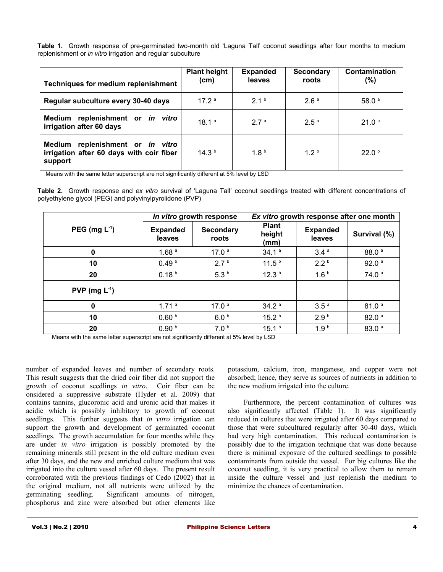**Table 1.** Growth response of pre-germinated two-month old 'Laguna Tall' coconut seedlings after four months to medium replenishment or *in vitro* irrigation and regular subculture

| <b>Techniques for medium replenishment</b>                                                 | <b>Plant height</b><br>(cm) | <b>Expanded</b><br>leaves | <b>Secondary</b><br>roots | Contamination<br>$(\%)$ |
|--------------------------------------------------------------------------------------------|-----------------------------|---------------------------|---------------------------|-------------------------|
| Regular subculture every 30-40 days                                                        | 17.2 <sup>a</sup>           | 21 <sup>b</sup>           | 2.6 <sup>a</sup>          | 58.0 $a$                |
| Medium replenishment or in vitro<br>irrigation after 60 days                               | 18.1 <sup>a</sup>           | 2.7 <sup>a</sup>          | 2.5 <sup>a</sup>          | 21.0 <sup>b</sup>       |
| replenishment or in vitro<br>Medium<br>irrigation after 60 days with coir fiber<br>support | 14.3 <sup>b</sup>           | 1.8 <sup>b</sup>          | 12 <sup>b</sup>           | 22.0 <sup>b</sup>       |

Means with the same letter superscript are not significantly different at 5% level by LSD

**Table 2.** Growth response and *ex vitro* survival of 'Laguna Tall' coconut seedlings treated with different concentrations of polyethylene glycol (PEG) and polyvinylpyrolidone (PVP)

|                   | In vitro growth response  |                           | Ex vitro growth response after one month |                           |                   |  |
|-------------------|---------------------------|---------------------------|------------------------------------------|---------------------------|-------------------|--|
| PEG (mg $L^1$ )   | <b>Expanded</b><br>leaves | <b>Secondary</b><br>roots | <b>Plant</b><br>height<br>(mm)           | <b>Expanded</b><br>leaves | Survival (%)      |  |
| 0                 | 1.68 <sup>a</sup>         | 17.0 $a$                  | 34.1 <sup>a</sup>                        | 3.4 <sup>a</sup>          | 88.0 <sup>a</sup> |  |
| 10                | 0.49 <sup>b</sup>         | 2.7 <sup>b</sup>          | 11.5 <sup>b</sup>                        | 2.2 <sup>b</sup>          | 92.0 <sup>a</sup> |  |
| 20                | 0.18 <sup>b</sup>         | 5.3 <sup>b</sup>          | 12.3 <sup>b</sup>                        | 1.6 <sup>b</sup>          | 74.0 <sup>a</sup> |  |
| $PVP$ (mg $L^1$ ) |                           |                           |                                          |                           |                   |  |
| 0                 | 1.71 <sup>a</sup>         | 17.0 <sup>a</sup>         | 34.2 <sup>a</sup>                        | 3.5 <sup>a</sup>          | 81.0 <sup>a</sup> |  |
| 10                | 0.60 <sup>b</sup>         | 6.0 <sup>b</sup>          | 15.2 <sup>b</sup>                        | 2.9 <sup>b</sup>          | 82.0 <sup>a</sup> |  |
| 20                | 0.90 <sup>b</sup>         | 7.0 <sup>b</sup>          | 15.1 <sup>b</sup>                        | 1.9 <sup>b</sup>          | 83.0 <sup>a</sup> |  |

Means with the same letter superscript are not significantly different at 5% level by LSD

number of expanded leaves and number of secondary roots. This result suggests that the dried coir fiber did not support the growth of coconut seedlings *in vitro*. Coir fiber can be onsidered a suppressive substrate (Hyder et al. 2009) that contains tannins, glucoronic acid and uronic acid that makes it acidic which is possibly inhibitory to growth of coconut seedlings. This further suggests that *in vitro* irrigation can support the growth and development of germinated coconut seedlings. The growth accumulation for four months while they are under *in vitro* irrigation is possibly promoted by the remaining minerals still present in the old culture medium even after 30 days, and the new and enriched culture medium that was irrigated into the culture vessel after 60 days. The present result corroborated with the previous findings of Cedo (2002) that in the original medium, not all nutrients were utilized by the germinating seedling. Significant amounts of nitrogen, phosphorus and zinc were absorbed but other elements like potassium, calcium, iron, manganese, and copper were not absorbed; hence, they serve as sources of nutrients in addition to the new medium irrigated into the culture.

Furthermore, the percent contamination of cultures was also significantly affected (Table 1). It was significantly reduced in cultures that were irrigated after 60 days compared to those that were subcultured regularly after 30-40 days, which had very high contamination. This reduced contamination is possibly due to the irrigation technique that was done because there is minimal exposure of the cultured seedlings to possible contaminants from outside the vessel. For big cultures like the coconut seedling, it is very practical to allow them to remain inside the culture vessel and just replenish the medium to minimize the chances of contamination.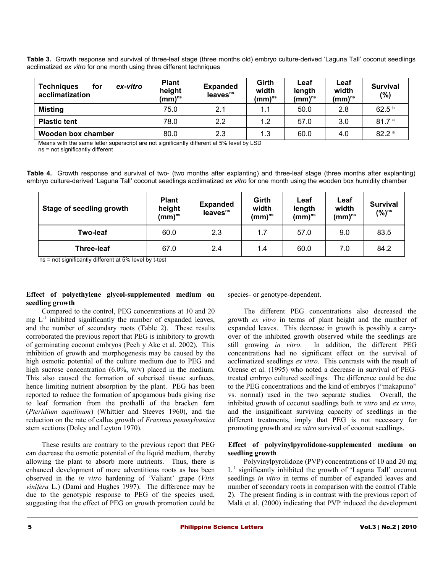**Table 3.** Growth response and survival of three-leaf stage (three months old) embryo culture-derived 'Laguna Tall' coconut seedlings acclimatized *ex vitro* for one month using three different techniques

| <b>Techniques</b><br>ex-vitro<br>for<br>acclimatization | <b>Plant</b><br>height<br>$(mm)^{ns}$ | <b>Expanded</b><br>leaves <sup>ns</sup> | Girth<br>width<br>(mm) $^{\sf ns}$ | Leaf<br>length<br>$(mm)^{ns}$ | Leaf<br>width<br>(mm) $^{\sf ns}$ | <b>Survival</b><br>(%) |
|---------------------------------------------------------|---------------------------------------|-----------------------------------------|------------------------------------|-------------------------------|-----------------------------------|------------------------|
| <b>Misting</b>                                          | 75.0                                  | 2.1                                     | 1.1                                | 50.0                          | 2.8                               | 62.5 <sup>b</sup>      |
| <b>Plastic tent</b>                                     | 78.0                                  | $2.2^{\circ}$                           | 1.2                                | 57.0                          | 3.0                               | 81.7 <sup>a</sup>      |
| Wooden box chamber                                      | 80.0                                  | 2.3                                     | 1.3                                | 60.0                          | 4.0                               | 82.2 <sup>a</sup>      |

Means with the same letter superscript are not significantly different at 5% level by LSD

ns = not significantly different

**Table 4.** Growth response and survival of two- (two months after explanting) and three-leaf stage (three months after explanting) embryo culture-derived 'Laguna Tall' coconut seedlings acclimatized *ex vitro* for one month using the wooden box humidity chamber

| Stage of seedling growth | <b>Plant</b><br>height<br>$(mm)^{ns}$ | <b>Expanded</b><br>leaves <sup>ns</sup> | Girth<br>width<br>(mm)"s | Leaf<br>length<br>$(mm)^{ns}$ | Leaf<br>width<br>$(mm)^{ns}$ | <b>Survival</b><br>$(%)^{ns}$ |
|--------------------------|---------------------------------------|-----------------------------------------|--------------------------|-------------------------------|------------------------------|-------------------------------|
| <b>Two-leaf</b>          | 60.0                                  | 2.3                                     | 1.7                      | 57.0                          | 9.0                          | 83.5                          |
| <b>Three-leaf</b>        | 67.0                                  | 2.4                                     | 1.4                      | 60.0                          | 7.0                          | 84.2                          |

ns = not significantly different at 5% level by t-test

#### **Effect of polyethylene glycol-supplemented medium on seedling growth**

Compared to the control, PEG concentrations at 10 and 20 mg  $L<sup>-1</sup>$  inhibited significantly the number of expanded leaves, and the number of secondary roots (Table 2). These results corroborated the previous report that PEG is inhibitory to growth of germinating coconut embryos (Pech y Ake et al. 2002). This inhibition of growth and morphogenesis may be caused by the high osmotic potential of the culture medium due to PEG and high sucrose concentration (6.0%, w/v) placed in the medium. This also caused the formation of suberised tissue surfaces, hence limiting nutrient absorption by the plant. PEG has been reported to reduce the formation of apogamous buds giving rise to leaf formation from the prothalli of the bracken fern (*Pteridium aquilinum*) (Whittier and Steeves 1960), and the reduction on the rate of callus growth of *Fraxinus pennsylvanica* stem sections (Doley and Leyton 1970).

These results are contrary to the previous report that PEG can decrease the osmotic potential of the liquid medium, thereby allowing the plant to absorb more nutrients. Thus, there is enhanced development of more adventitious roots as has been observed in the *in vitro* hardening of 'Valiant' grape (*Vitis vinifera* L.) (Dami and Hughes 1997). The difference may be due to the genotypic response to PEG of the species used, suggesting that the effect of PEG on growth promotion could be

species- or genotype-dependent.

The different PEG concentrations also decreased the growth *ex vitro* in terms of plant height and the number of expanded leaves. This decrease in growth is possibly a carryover of the inhibited growth observed while the seedlings are still growing *in vitro*. In addition, the different PEG concentrations had no significant effect on the survival of acclimatized seedlings *ex vitro*. This contrasts with the result of Orense et al. (1995) who noted a decrease in survival of PEGtreated embryo cultured seedlings. The difference could be due to the PEG concentrations and the kind of embryos ("makapuno" vs. normal) used in the two separate studies. Overall, the inhibited growth of coconut seedlings both *in vitro* and *ex vitro*, and the insignificant surviving capacity of seedlings in the different treatments, imply that PEG is not necessary for promoting growth and *ex vitro* survival of coconut seedlings.

#### **Effect of polyvinylpyrolidone-supplemented medium on seedling growth**

Polyvinylpyrolidone (PVP) concentrations of 10 and 20 mg L -1 significantly inhibited the growth of 'Laguna Tall' coconut seedlings *in vitro* in terms of number of expanded leaves and number of secondary roots in comparison with the control (Table 2). The present finding is in contrast with the previous report of Malà et al. (2000) indicating that PVP induced the development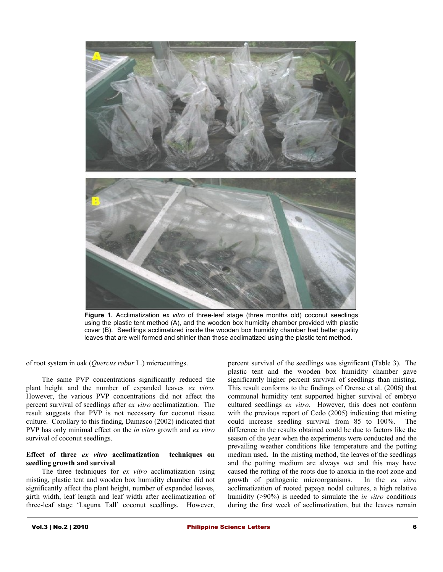

**Figure 1.** Acclimatization *ex vitro* of three-leaf stage (three months old) coconut seedlings using the plastic tent method (A), and the wooden box humidity chamber provided with plastic cover (B). Seedlings acclimatized inside the wooden box humidity chamber had better quality leaves that are well formed and shinier than those acclimatized using the plastic tent method.

#### of root system in oak (*Quercus robur* L.) microcuttings.

The same PVP concentrations significantly reduced the plant height and the number of expanded leaves *ex vitro*. However, the various PVP concentrations did not affect the percent survival of seedlings after *ex vitro* acclimatization. The result suggests that PVP is not necessary for coconut tissue culture. Corollary to this finding, Damasco (2002) indicated that PVP has only minimal effect on the *in vitro* growth and *ex vitro* survival of coconut seedlings.

#### **Effect of three** *ex vitro* **acclimatization techniques on seedling growth and survival**

The three techniques for *ex vitro* acclimatization using misting, plastic tent and wooden box humidity chamber did not significantly affect the plant height, number of expanded leaves, girth width, leaf length and leaf width after acclimatization of three-leaf stage 'Laguna Tall' coconut seedlings. However,

percent survival of the seedlings was significant (Table 3). The plastic tent and the wooden box humidity chamber gave significantly higher percent survival of seedlings than misting. This result conforms to the findings of Orense et al. (2006) that communal humidity tent supported higher survival of embryo cultured seedlings *ex vitro*. However, this does not conform with the previous report of Cedo (2005) indicating that misting could increase seedling survival from 85 to 100%. The difference in the results obtained could be due to factors like the season of the year when the experiments were conducted and the prevailing weather conditions like temperature and the potting medium used. In the misting method, the leaves of the seedlings and the potting medium are always wet and this may have caused the rotting of the roots due to anoxia in the root zone and growth of pathogenic microorganisms. In the *ex vitro* acclimatization of rooted papaya nodal cultures, a high relative humidity (>90%) is needed to simulate the *in vitro* conditions during the first week of acclimatization, but the leaves remain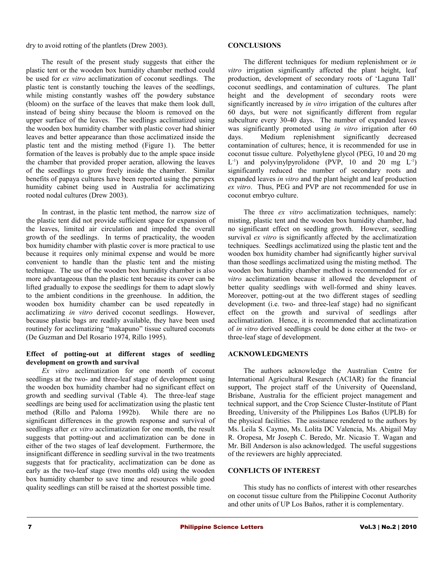dry to avoid rotting of the plantlets (Drew 2003).

The result of the present study suggests that either the plastic tent or the wooden box humidity chamber method could be used for *ex vitro* acclimatization of coconut seedlings. The plastic tent is constantly touching the leaves of the seedlings, while misting constantly washes off the powdery substance (bloom) on the surface of the leaves that make them look dull, instead of being shiny because the bloom is removed on the upper surface of the leaves. The seedlings acclimatized using the wooden box humidity chamber with plastic cover had shinier leaves and better appearance than those acclimatized inside the plastic tent and the misting method (Figure 1). The better formation of the leaves is probably due to the ample space inside the chamber that provided proper aeration, allowing the leaves of the seedlings to grow freely inside the chamber. Similar benefits of papaya cultures have been reported using the perspex humidity cabinet being used in Australia for acclimatizing rooted nodal cultures (Drew 2003).

In contrast, in the plastic tent method, the narrow size of the plastic tent did not provide sufficient space for expansion of the leaves, limited air circulation and impeded the overall growth of the seedlings. In terms of practicality, the wooden box humidity chamber with plastic cover is more practical to use because it requires only minimal expense and would be more convenient to handle than the plastic tent and the misting technique. The use of the wooden box humidity chamber is also more advantageous than the plastic tent because its cover can be lifted gradually to expose the seedlings for them to adapt slowly to the ambient conditions in the greenhouse. In addition, the wooden box humidity chamber can be used repeatedly in acclimatizing *in vitro* derived coconut seedlings. However, because plastic bags are readily available, they have been used routinely for acclimatizing "makapuno" tissue cultured coconuts (De Guzman and Del Rosario 1974, Rillo 1995).

#### **Effect of potting-out at different stages of seedling development on growth and survival**

*Ex vitro* acclimatization for one month of coconut seedlings at the two- and three-leaf stage of development using the wooden box humidity chamber had no significant effect on growth and seedling survival (Table 4). The three-leaf stage seedlings are being used for acclimatization using the plastic tent method (Rillo and Paloma 1992b). While there are no significant differences in the growth response and survival of seedlings after *ex vitro* acclimatization for one month, the result suggests that potting-out and acclimatization can be done in either of the two stages of leaf development. Furthermore, the insignificant difference in seedling survival in the two treatments suggests that for practicality, acclimatization can be done as early as the two-leaf stage (two months old) using the wooden box humidity chamber to save time and resources while good quality seedlings can still be raised at the shortest possible time.

#### **CONCLUSIONS**

The different techniques for medium replenishment or *in vitro* irrigation significantly affected the plant height, leaf production, development of secondary roots of 'Laguna Tall' coconut seedlings, and contamination of cultures. The plant height and the development of secondary roots were significantly increased by *in vitro* irrigation of the cultures after 60 days, but were not significantly different from regular subculture every 30-40 days. The number of expanded leaves was significantly promoted using *in vitro* irrigation after 60 days. Medium replenishment significantly decreased contamination of cultures; hence, it is recommended for use in coconut tissue culture. Polyethylene glycol (PEG, 10 and 20 mg L<sup>-1</sup>) and polyvinylpyrolidone (PVP, 10 and 20 mg L<sup>-1</sup>) significantly reduced the number of secondary roots and expanded leaves *in vitro* and the plant height and leaf production *ex vitro*. Thus, PEG and PVP are not recommended for use in coconut embryo culture.

The three *ex vitro* acclimatization techniques, namely: misting, plastic tent and the wooden box humidity chamber, had no significant effect on seedling growth. However, seedling survival *ex vitro* is significantly affected by the acclimatization techniques. Seedlings acclimatized using the plastic tent and the wooden box humidity chamber had significantly higher survival than those seedlings acclimatized using the misting method. The wooden box humidity chamber method is recommended for *ex vitro* acclimatization because it allowed the development of better quality seedlings with well-formed and shiny leaves. Moreover, potting-out at the two different stages of seedling development (i.e. two- and three-leaf stage) had no significant effect on the growth and survival of seedlings after acclimatization. Hence, it is recommended that acclimatization of *in vitro* derived seedlings could be done either at the two- or three-leaf stage of development.

#### **ACKNOWLEDGMENTS**

The authors acknowledge the Australian Centre for International Agricultural Research (ACIAR) for the financial support. The project staff of the University of Queensland, Brisbane, Australia for the efficient project management and technical support, and the Crop Science Cluster-Institute of Plant Breeding, University of the Philippines Los Baños (UPLB) for the physical facilities. The assistance rendered to the authors by Ms. Leila S. Caymo, Ms. Lolita DC Valencia, Ms. Abigail May R. Oropesa, Mr Joseph C. Beredo, Mr. Nicasio T. Wagan and Mr. Bill Anderson is also acknowledged. The useful suggestions of the reviewers are highly appreciated.

#### **CONFLICTS OF INTEREST**

This study has no conflicts of interest with other researches on coconut tissue culture from the Philippine Coconut Authority and other units of UP Los Baños, rather it is complementary.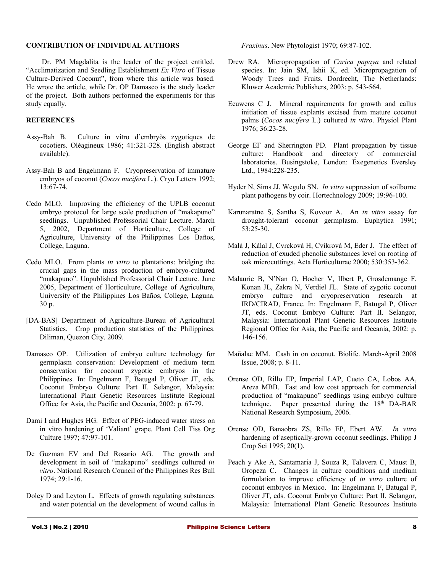#### **CONTRIBUTION OF INDIVIDUAL AUTHORS**

Dr. PM Magdalita is the leader of the project entitled, "Acclimatization and Seedling Establishment *Ex Vitro* of Tissue Culture-Derived Coconut", from where this article was based. He wrote the article, while Dr. OP Damasco is the study leader of the project. Both authors performed the experiments for this study equally.

#### **REFERENCES**

- Assy-Bah B. Culture in vitro d'embryòs zygotiques de cocotiers. Olėagineux 1986; 41:321-328. (English abstract available).
- Assy-Bah B and Engelmann F. Cryopreservation of immature embryos of coconut (*Cocos nucifera* L.). Cryo Letters 1992; 13:67-74.
- Cedo MLO. Improving the efficiency of the UPLB coconut embryo protocol for large scale production of "makapuno" seedlings. Unpublished Professorial Chair Lecture. March 5, 2002, Department of Horticulture, College of Agriculture, University of the Philippines Los Baños, College, Laguna.
- Cedo MLO. From plants *in vitro* to plantations: bridging the crucial gaps in the mass production of embryo-cultured "makapuno". Unpublished Professorial Chair Lecture. June 2005, Department of Horticulture, College of Agriculture, University of the Philippines Los Baños, College, Laguna. 30 p.
- [DA-BAS] Department of Agriculture-Bureau of Agricultural Statistics. Crop production statistics of the Philippines. Diliman, Quezon City. 2009.
- Damasco OP. Utilization of embryo culture technology for germplasm conservation: Development of medium term conservation for coconut zygotic embryos in the Philippines. In: Engelmann F, Batugal P, Oliver JT, eds. Coconut Embryo Culture: Part II. Selangor, Malaysia: International Plant Genetic Resources Institute Regional Office for Asia, the Pacific and Oceania, 2002: p. 67-79.
- Dami I and Hughes HG. Effect of PEG-induced water stress on in vitro hardening of 'Valiant' grape. Plant Cell Tiss Org Culture 1997; 47:97-101.
- De Guzman EV and Del Rosario AG. The growth and development in soil of "makapuno" seedlings cultured *in vitro*. National Research Council of the Philippines Res Bull 1974; 29:1-16.
- Doley D and Leyton L. Effects of growth regulating substances and water potential on the development of wound callus in

*Fraxinus*. New Phytologist 1970; 69:87-102.

- Drew RA. Micropropagation of *Carica papaya* and related species. In: Jain SM, Ishii K, ed. Micropropagation of Woody Trees and Fruits. Dordrecht, The Netherlands: Kluwer Academic Publishers, 2003: p. 543-564.
- Eeuwens C J. Mineral requirements for growth and callus initiation of tissue explants excised from mature coconut palms (*Cocos nucifera* L.) cultured *in vitro*. Physiol Plant 1976; 36:23-28.
- George EF and Sherrington PD. Plant propagation by tissue culture: Handbook and directory of commercial laboratories. Busingstoke, London: Exegenetics Eversley Ltd., 1984:228-235.
- Hyder N, Sims JJ, Wegulo SN. *In vitro* suppression of soilborne plant pathogens by coir. Hortechnology 2009; 19:96-100.
- Karunaratne S, Santha S, Kovoor A. An *in vitro* assay for drought-tolerant coconut germplasm. Euphytica 1991; 53:25-30.
- Malà J, Kàlal J, Cvrckovà H, Cvikrovà M, Eder J. The effect of reduction of exuded phenolic substances level on rooting of oak microcuttings. Acta Horticulturae 2000; 530:353-362.
- Malaurie B, N'Nan O, Hocher V, Ilbert P, Grosdemange F, Konan JL, Zakra N, Verdiel JL. State of zygotic coconut embryo culture and cryopreservation research at IRD/CIRAD, France. In: Engelmann F, Batugal P, Oliver JT, eds. Coconut Embryo Culture: Part II. Selangor, Malaysia: International Plant Genetic Resources Institute Regional Office for Asia, the Pacific and Oceania, 2002: p. 146-156.
- Mañalac MM. Cash in on coconut. Biolife. March-April 2008 Issue, 2008; p. 8-11.
- Orense OD, Rillo EP, Imperial LAP, Cueto CA, Lobos AA, Areza MBB. Fast and low cost approach for commercial production of "makapuno" seedlings using embryo culture technique. Paper presented during the  $18<sup>th</sup>$  DA-BAR National Research Symposium, 2006.
- Orense OD, Banaobra ZS, Rillo EP, Ebert AW. *In vitro* hardening of aseptically-grown coconut seedlings. Philipp J Crop Sci 1995; 20(1).
- Peach y Ake A, Santamaria J, Souza R, Talavera C, Maust B, Oropeza C. Changes in culture conditions and medium formulation to improve efficiency of *in vitro* culture of coconut embryos in Mexico. In: Engelmann F, Batugal P, Oliver JT, eds. Coconut Embryo Culture: Part II. Selangor, Malaysia: International Plant Genetic Resources Institute